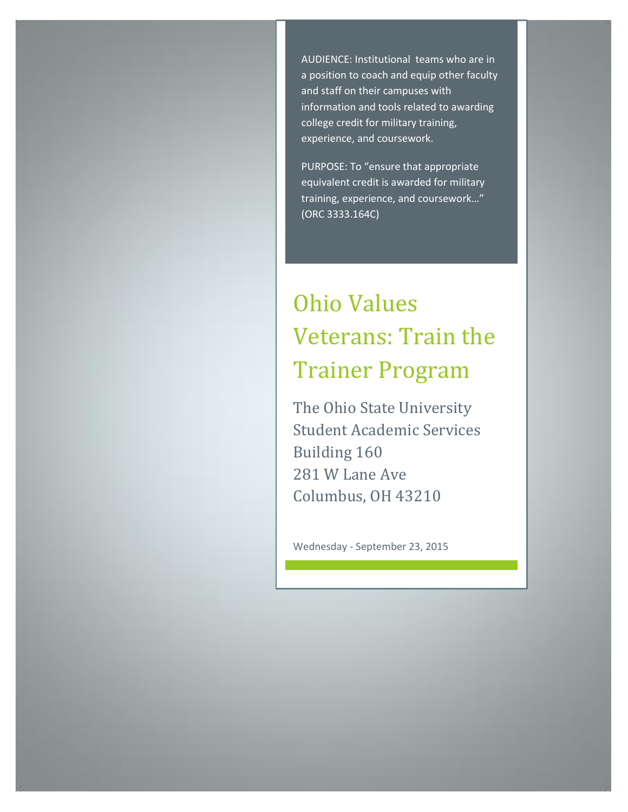AUDIENCE: Institutional teams who are in a position to coach and equip other faculty and staff on their campuses with information and tools related to awarding college credit for military training, experience, and coursework.

PURPOSE: To "ensure that appropriate equivalent credit is awarded for military training, experience, and coursework…" (ORC 3333.164C)

## Ohio Values Veterans: Train the Trainer Program

The Ohio State University Student Academic Services Building 160 281 W Lane Ave Columbus, OH 43210

Wednesday - September 23, 2015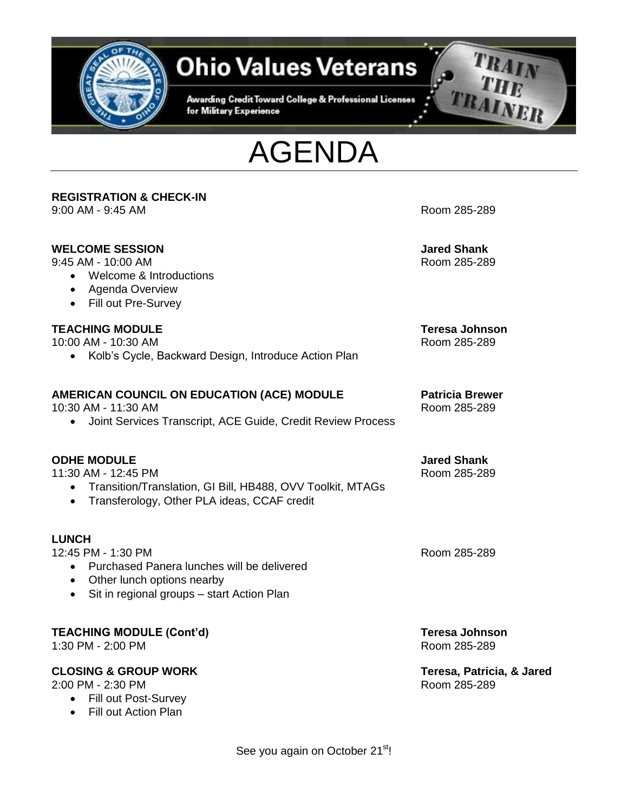

## **Ohio Values Veterans**

Awarding Credit Toward College & Professional Licenses for Military Experience





## **REGISTRATION & CHECK-IN** 9:00 AM - 9:45 AM Room 285-289 **WELCOME SESSION Jared Shank** 9:45 AM - 10:00 AM Room 285-289 Welcome & Introductions Agenda Overview • Fill out Pre-Survey **TEACHING MODULE Teresa Johnson** 10:00 AM - 10:30 AM Room 285-289 • Kolb's Cycle, Backward Design, Introduce Action Plan **AMERICAN COUNCIL ON EDUCATION (ACE) MODULE Patricia Brewer** 10:30 AM - 11:30 AM Room 285-289 Joint Services Transcript, ACE Guide, Credit Review Process **ODHE MODULE Jared Shank** 11:30 AM - 12:45 PM Room 285-289 Transition/Translation, GI Bill, HB488, OVV Toolkit, MTAGs • Transferology, Other PLA ideas, CCAF credit **LUNCH** 12:45 PM - 1:30 PM Room 285-289 Purchased Panera lunches will be delivered • Other lunch options nearby • Sit in regional groups – start Action Plan **TEACHING MODULE (Cont'd) Teresa Johnson** 1:30 PM - 2:00 PM  $\blacksquare$ **CLOSING & GROUP WORK** Teresa, Patricia, & Jared<br>2:00 PM - 2:30 PM

2:00 PM - 2:30 PM

- Fill out Post-Survey
- Fill out Action Plan